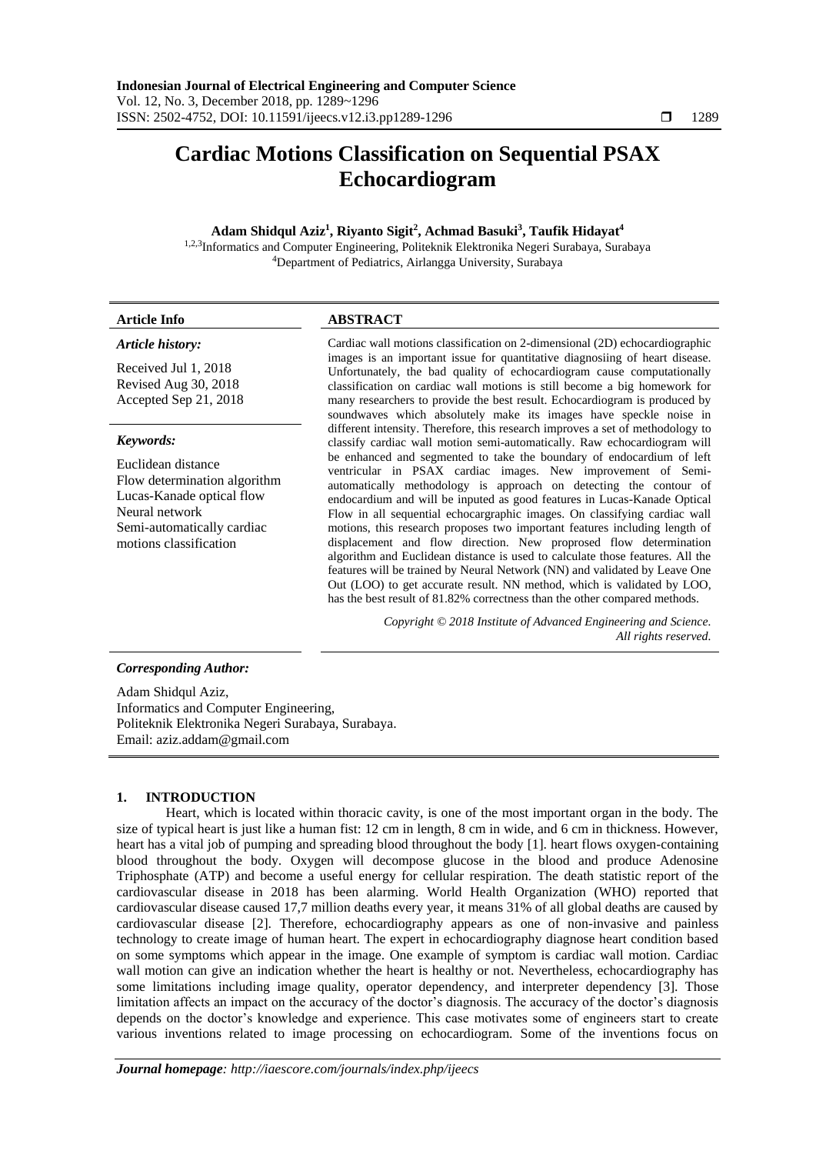# **Cardiac Motions Classification on Sequential PSAX Echocardiogram**

### **Adam Shidqul Aziz<sup>1</sup> , Riyanto Sigit<sup>2</sup> , Achmad Basuki<sup>3</sup> , Taufik Hidayat<sup>4</sup>**

1,2,3Informatics and Computer Engineering, Politeknik Elektronika Negeri Surabaya, Surabaya <sup>4</sup>Department of Pediatrics, Airlangga University, Surabaya

## **Article Info ABSTRACT**

#### *Article history:*

Received Jul 1, 2018 Revised Aug 30, 2018 Accepted Sep 21, 2018

#### *Keywords:*

Euclidean distance Flow determination algorithm Lucas-Kanade optical flow Neural network Semi-automatically cardiac motions classification

Cardiac wall motions classification on 2-dimensional (2D) echocardiographic images is an important issue for quantitative diagnosiing of heart disease. Unfortunately, the bad quality of echocardiogram cause computationally classification on cardiac wall motions is still become a big homework for many researchers to provide the best result. Echocardiogram is produced by soundwaves which absolutely make its images have speckle noise in different intensity. Therefore, this research improves a set of methodology to classify cardiac wall motion semi-automatically. Raw echocardiogram will be enhanced and segmented to take the boundary of endocardium of left ventricular in PSAX cardiac images. New improvement of Semiautomatically methodology is approach on detecting the contour of endocardium and will be inputed as good features in Lucas-Kanade Optical Flow in all sequential echocargraphic images. On classifying cardiac wall motions, this research proposes two important features including length of displacement and flow direction. New proprosed flow determination algorithm and Euclidean distance is used to calculate those features. All the features will be trained by Neural Network (NN) and validated by Leave One Out (LOO) to get accurate result. NN method, which is validated by LOO, has the best result of 81.82% correctness than the other compared methods.

> *Copyright © 2018 Institute of Advanced Engineering and Science. All rights reserved.*

#### *Corresponding Author:*

Adam Shidqul Aziz, Informatics and Computer Engineering, Politeknik Elektronika Negeri Surabaya, Surabaya. Email: aziz.addam@gmail.com

#### **1. INTRODUCTION**

Heart, which is located within thoracic cavity, is one of the most important organ in the body. The size of typical heart is just like a human fist: 12 cm in length, 8 cm in wide, and 6 cm in thickness. However, heart has a vital job of pumping and spreading blood throughout the body [1]. heart flows oxygen-containing blood throughout the body. Oxygen will decompose glucose in the blood and produce Adenosine Triphosphate (ATP) and become a useful energy for cellular respiration. The death statistic report of the cardiovascular disease in 2018 has been alarming. World Health Organization (WHO) reported that cardiovascular disease caused 17,7 million deaths every year, it means 31% of all global deaths are caused by cardiovascular disease [2]. Therefore, echocardiography appears as one of non-invasive and painless technology to create image of human heart. The expert in echocardiography diagnose heart condition based on some symptoms which appear in the image. One example of symptom is cardiac wall motion. Cardiac wall motion can give an indication whether the heart is healthy or not. Nevertheless, echocardiography has some limitations including image quality, operator dependency, and interpreter dependency [3]. Those limitation affects an impact on the accuracy of the doctor's diagnosis. The accuracy of the doctor's diagnosis depends on the doctor's knowledge and experience. This case motivates some of engineers start to create various inventions related to image processing on echocardiogram. Some of the inventions focus on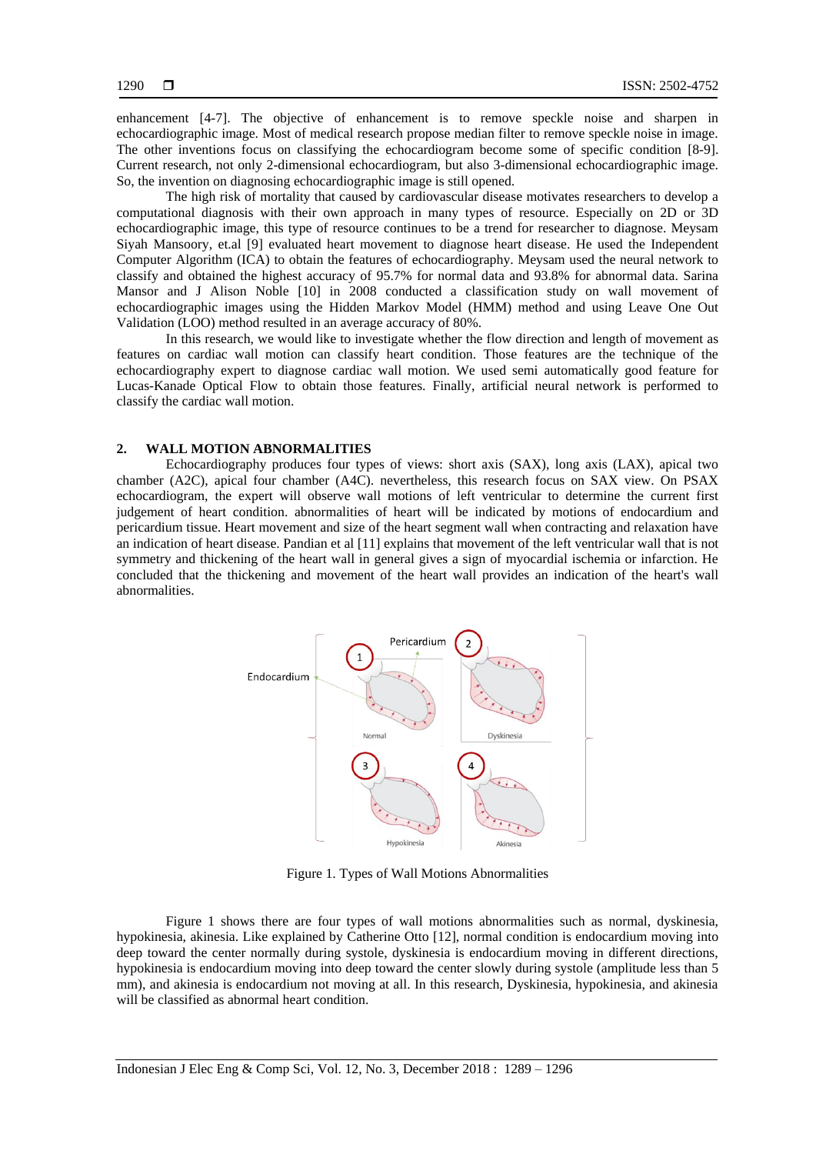enhancement [4-7]. The objective of enhancement is to remove speckle noise and sharpen in echocardiographic image. Most of medical research propose median filter to remove speckle noise in image. The other inventions focus on classifying the echocardiogram become some of specific condition [8-9]. Current research, not only 2-dimensional echocardiogram, but also 3-dimensional echocardiographic image. So, the invention on diagnosing echocardiographic image is still opened.

The high risk of mortality that caused by cardiovascular disease motivates researchers to develop a computational diagnosis with their own approach in many types of resource. Especially on 2D or 3D echocardiographic image, this type of resource continues to be a trend for researcher to diagnose. Meysam Siyah Mansoory, et.al [9] evaluated heart movement to diagnose heart disease. He used the Independent Computer Algorithm (ICA) to obtain the features of echocardiography. Meysam used the neural network to classify and obtained the highest accuracy of 95.7% for normal data and 93.8% for abnormal data. Sarina Mansor and J Alison Noble [10] in 2008 conducted a classification study on wall movement of echocardiographic images using the Hidden Markov Model (HMM) method and using Leave One Out Validation (LOO) method resulted in an average accuracy of 80%.

In this research, we would like to investigate whether the flow direction and length of movement as features on cardiac wall motion can classify heart condition. Those features are the technique of the echocardiography expert to diagnose cardiac wall motion. We used semi automatically good feature for Lucas-Kanade Optical Flow to obtain those features. Finally, artificial neural network is performed to classify the cardiac wall motion.

#### **2. WALL MOTION ABNORMALITIES**

Echocardiography produces four types of views: short axis (SAX), long axis (LAX), apical two chamber (A2C), apical four chamber (A4C). nevertheless, this research focus on SAX view. On PSAX echocardiogram, the expert will observe wall motions of left ventricular to determine the current first judgement of heart condition. abnormalities of heart will be indicated by motions of endocardium and pericardium tissue. Heart movement and size of the heart segment wall when contracting and relaxation have an indication of heart disease. Pandian et al [11] explains that movement of the left ventricular wall that is not symmetry and thickening of the heart wall in general gives a sign of myocardial ischemia or infarction. He concluded that the thickening and movement of the heart wall provides an indication of the heart's wall abnormalities.



Figure 1. Types of Wall Motions Abnormalities

Figure 1 shows there are four types of wall motions abnormalities such as normal, dyskinesia, hypokinesia, akinesia. Like explained by Catherine Otto [12], normal condition is endocardium moving into deep toward the center normally during systole, dyskinesia is endocardium moving in different directions, hypokinesia is endocardium moving into deep toward the center slowly during systole (amplitude less than 5 mm), and akinesia is endocardium not moving at all. In this research, Dyskinesia, hypokinesia, and akinesia will be classified as abnormal heart condition.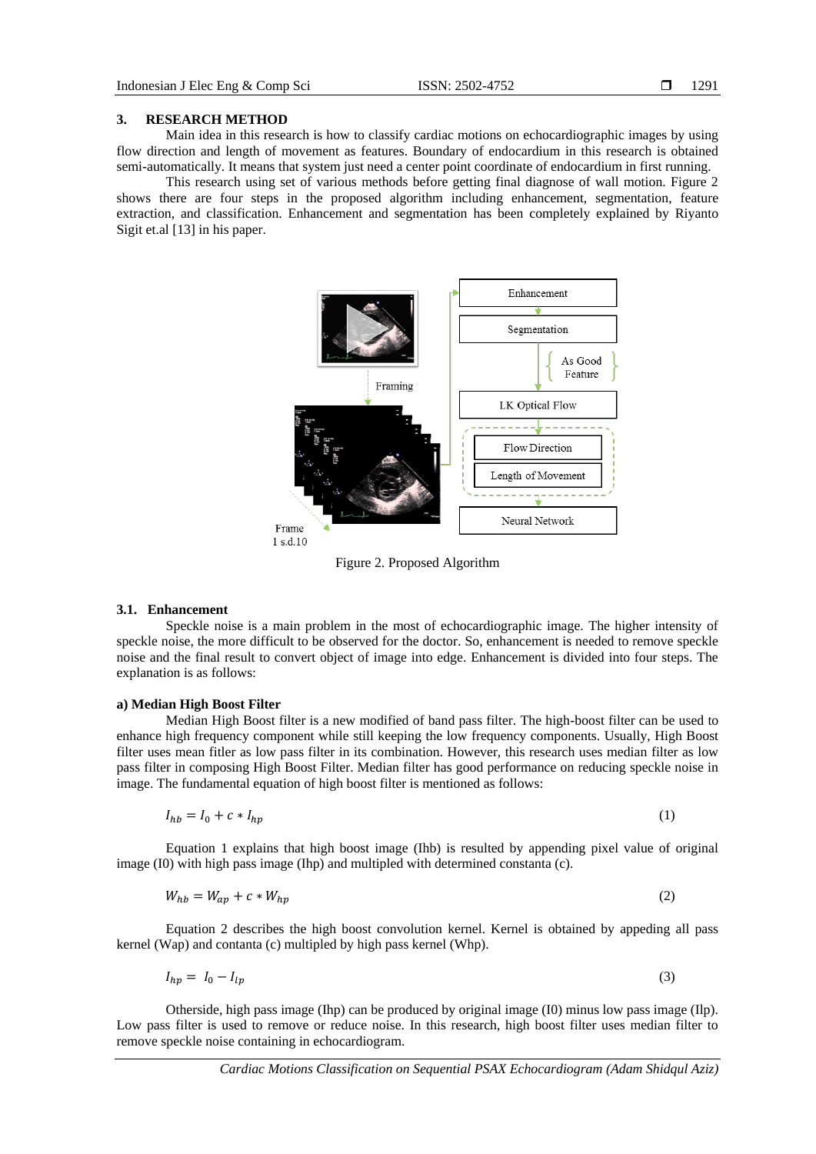#### **3. RESEARCH METHOD**

Main idea in this research is how to classify cardiac motions on echocardiographic images by using flow direction and length of movement as features. Boundary of endocardium in this research is obtained semi-automatically. It means that system just need a center point coordinate of endocardium in first running.

This research using set of various methods before getting final diagnose of wall motion. Figure 2 shows there are four steps in the proposed algorithm including enhancement, segmentation, feature extraction, and classification. Enhancement and segmentation has been completely explained by Riyanto Sigit et.al [13] in his paper.



Figure 2. Proposed Algorithm

#### **3.1. Enhancement**

Speckle noise is a main problem in the most of echocardiographic image. The higher intensity of speckle noise, the more difficult to be observed for the doctor. So, enhancement is needed to remove speckle noise and the final result to convert object of image into edge. Enhancement is divided into four steps. The explanation is as follows:

### **a) Median High Boost Filter**

Median High Boost filter is a new modified of band pass filter. The high-boost filter can be used to enhance high frequency component while still keeping the low frequency components. Usually, High Boost filter uses mean fitler as low pass filter in its combination. However, this research uses median filter as low pass filter in composing High Boost Filter. Median filter has good performance on reducing speckle noise in image. The fundamental equation of high boost filter is mentioned as follows:

$$
I_{hb} = I_0 + c * I_{hp} \tag{1}
$$

Equation 1 explains that high boost image (Ihb) is resulted by appending pixel value of original image (I0) with high pass image (Ihp) and multipled with determined constanta (c).

$$
W_{hb} = W_{ap} + c * W_{hp} \tag{2}
$$

Equation 2 describes the high boost convolution kernel. Kernel is obtained by appeding all pass kernel (Wap) and contanta (c) multipled by high pass kernel (Whp).

$$
I_{hp} = I_0 - I_{lp} \tag{3}
$$

Otherside, high pass image (Ihp) can be produced by original image (I0) minus low pass image (Ilp). Low pass filter is used to remove or reduce noise. In this research, high boost filter uses median filter to remove speckle noise containing in echocardiogram.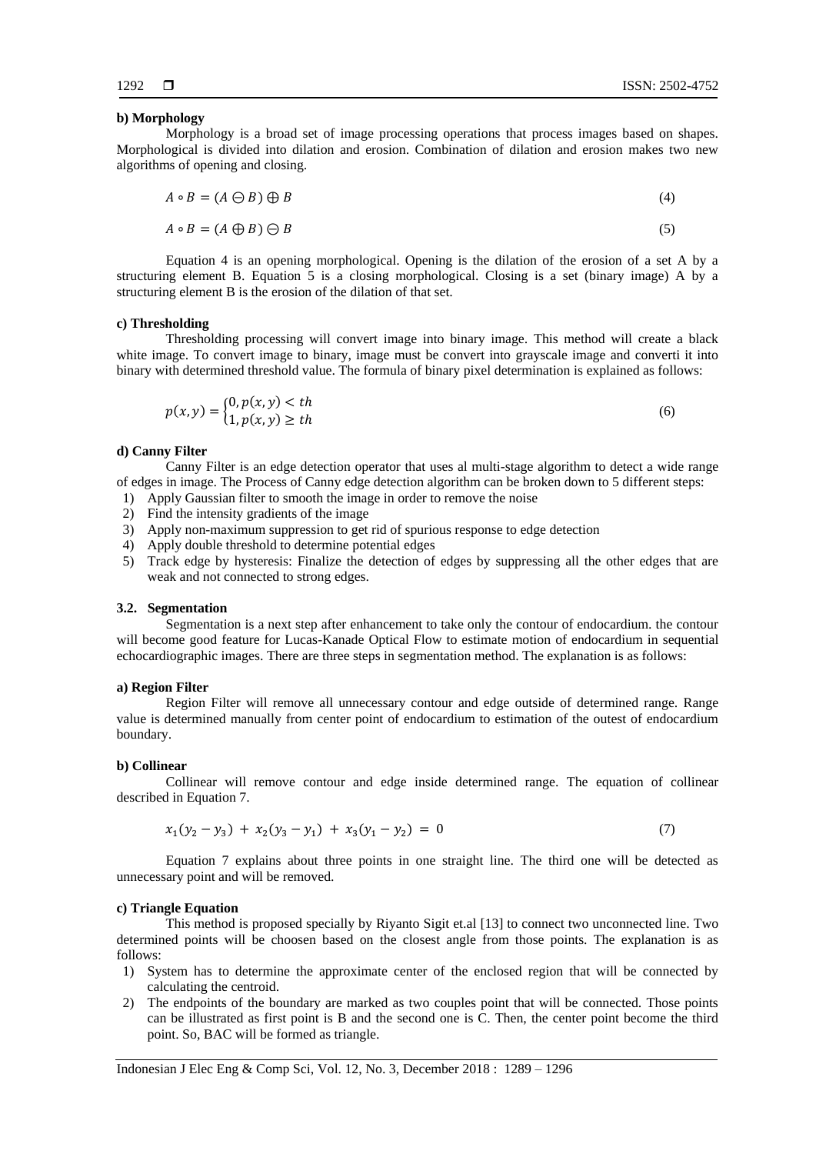#### **b) Morphology**

Morphology is a broad set of image processing operations that process images based on shapes. Morphological is divided into dilation and erosion. Combination of dilation and erosion makes two new algorithms of opening and closing.

$$
A \circ B = (A \ominus B) \oplus B \tag{4}
$$

$$
A \circ B = (A \oplus B) \ominus B \tag{5}
$$

Equation 4 is an opening morphological. Opening is the dilation of the erosion of a set A by a structuring element B. Equation 5 is a closing morphological. Closing is a set (binary image) A by a structuring element B is the erosion of the dilation of that set.

#### **c) Thresholding**

Thresholding processing will convert image into binary image. This method will create a black white image. To convert image to binary, image must be convert into grayscale image and converti it into binary with determined threshold value. The formula of binary pixel determination is explained as follows:

$$
p(x, y) = \begin{cases} 0, p(x, y) < th \\ 1, p(x, y) \geq th \end{cases} \tag{6}
$$

#### **d) Canny Filter**

Canny Filter is an edge detection operator that uses al multi-stage algorithm to detect a wide range of edges in image. The Process of Canny edge detection algorithm can be broken down to 5 different steps:

- 1) Apply Gaussian filter to smooth the image in order to remove the noise
- 2) Find the intensity gradients of the image
- 3) Apply non-maximum suppression to get rid of spurious response to edge detection
- 4) Apply double threshold to determine potential edges
- 5) Track edge by hysteresis: Finalize the detection of edges by suppressing all the other edges that are weak and not connected to strong edges.

#### **3.2. Segmentation**

Segmentation is a next step after enhancement to take only the contour of endocardium. the contour will become good feature for Lucas-Kanade Optical Flow to estimate motion of endocardium in sequential echocardiographic images. There are three steps in segmentation method. The explanation is as follows:

#### **a) Region Filter**

Region Filter will remove all unnecessary contour and edge outside of determined range. Range value is determined manually from center point of endocardium to estimation of the outest of endocardium boundary.

#### **b) Collinear**

Collinear will remove contour and edge inside determined range. The equation of collinear described in Equation 7.

$$
x_1(y_2 - y_3) + x_2(y_3 - y_1) + x_3(y_1 - y_2) = 0 \tag{7}
$$

Equation 7 explains about three points in one straight line. The third one will be detected as unnecessary point and will be removed.

#### **c) Triangle Equation**

This method is proposed specially by Riyanto Sigit et.al [13] to connect two unconnected line. Two determined points will be choosen based on the closest angle from those points. The explanation is as follows:

- 1) System has to determine the approximate center of the enclosed region that will be connected by calculating the centroid.
- 2) The endpoints of the boundary are marked as two couples point that will be connected. Those points can be illustrated as first point is B and the second one is C. Then, the center point become the third point. So, BAC will be formed as triangle.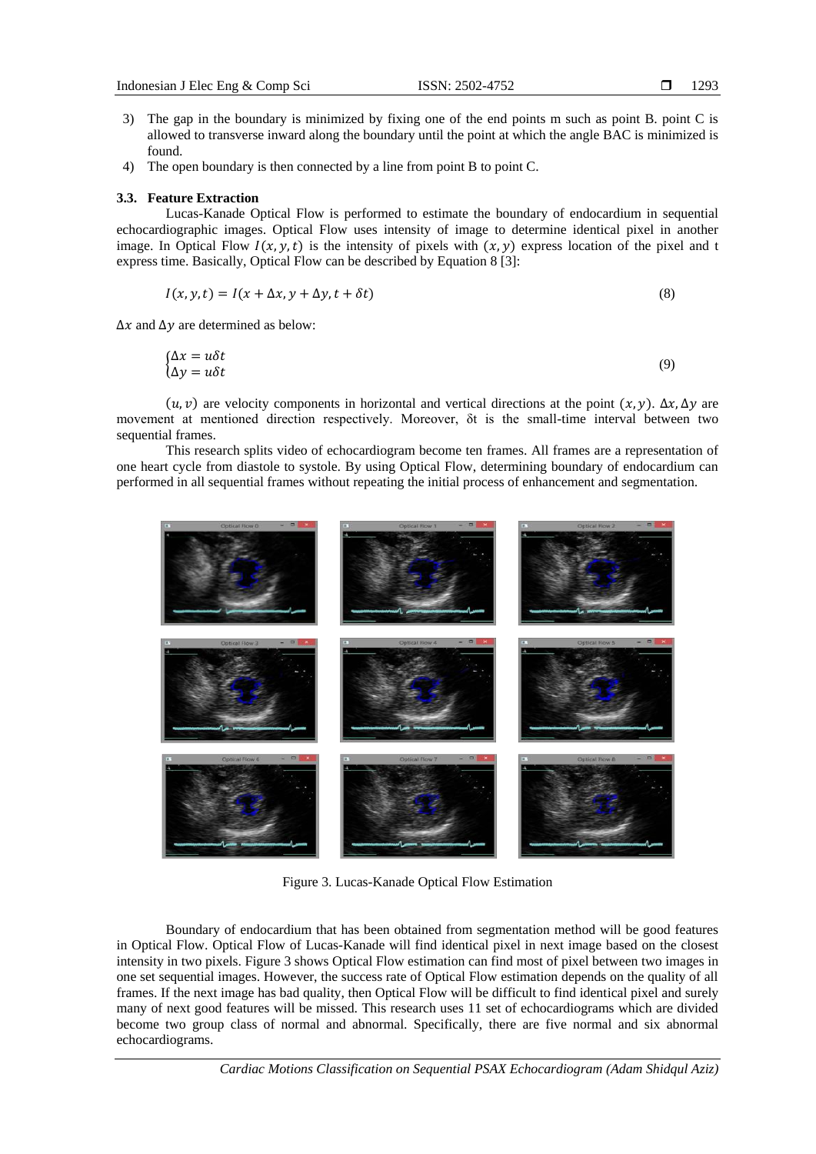- 3) The gap in the boundary is minimized by fixing one of the end points m such as point B. point C is allowed to transverse inward along the boundary until the point at which the angle BAC is minimized is found.
- 4) The open boundary is then connected by a line from point B to point C.

#### **3.3. Feature Extraction**

Lucas-Kanade Optical Flow is performed to estimate the boundary of endocardium in sequential echocardiographic images. Optical Flow uses intensity of image to determine identical pixel in another image. In Optical Flow  $I(x, y, t)$  is the intensity of pixels with  $(x, y)$  express location of the pixel and t express time. Basically, Optical Flow can be described by Equation 8 [3]:

$$
I(x, y, t) = I(x + \Delta x, y + \Delta y, t + \delta t)
$$
\n(8)

 $\Delta x$  and  $\Delta y$  are determined as below:

$$
\begin{cases} \Delta x = u \delta t \\ \Delta y = u \delta t \end{cases} \tag{9}
$$

 $(u, v)$  are velocity components in horizontal and vertical directions at the point  $(x, y)$ .  $\Delta x$ ,  $\Delta y$  are movement at mentioned direction respectively. Moreover, δt is the small-time interval between two sequential frames.

This research splits video of echocardiogram become ten frames. All frames are a representation of one heart cycle from diastole to systole. By using Optical Flow, determining boundary of endocardium can performed in all sequential frames without repeating the initial process of enhancement and segmentation.

Figure 3. Lucas-Kanade Optical Flow Estimation

Boundary of endocardium that has been obtained from segmentation method will be good features in Optical Flow. Optical Flow of Lucas-Kanade will find identical pixel in next image based on the closest intensity in two pixels. Figure 3 shows Optical Flow estimation can find most of pixel between two images in one set sequential images. However, the success rate of Optical Flow estimation depends on the quality of all frames. If the next image has bad quality, then Optical Flow will be difficult to find identical pixel and surely many of next good features will be missed. This research uses 11 set of echocardiograms which are divided become two group class of normal and abnormal. Specifically, there are five normal and six abnormal echocardiograms.

*Cardiac Motions Classification on Sequential PSAX Echocardiogram (Adam Shidqul Aziz)*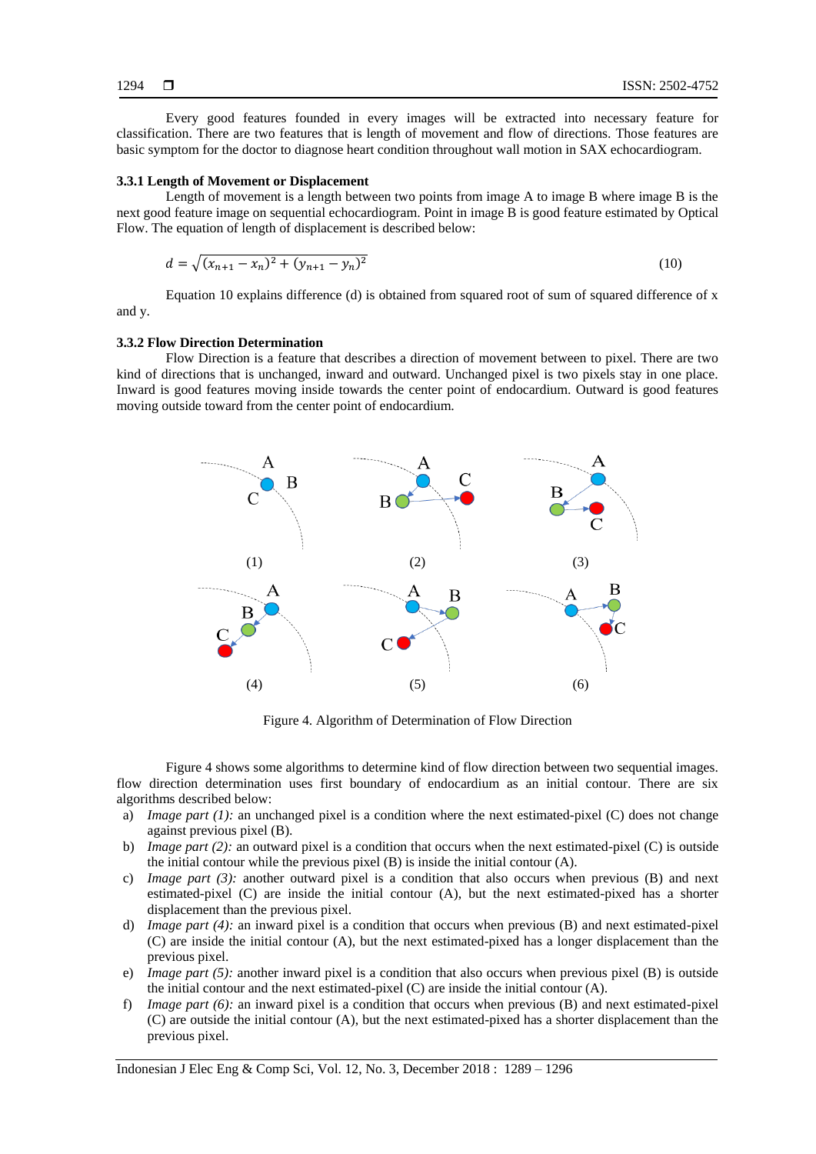Every good features founded in every images will be extracted into necessary feature for classification. There are two features that is length of movement and flow of directions. Those features are basic symptom for the doctor to diagnose heart condition throughout wall motion in SAX echocardiogram.

#### **3.3.1 Length of Movement or Displacement**

Length of movement is a length between two points from image A to image B where image B is the next good feature image on sequential echocardiogram. Point in image B is good feature estimated by Optical Flow. The equation of length of displacement is described below:

$$
d = \sqrt{(x_{n+1} - x_n)^2 + (y_{n+1} - y_n)^2}
$$
\n(10)

Equation 10 explains difference (d) is obtained from squared root of sum of squared difference of x and y.

#### **3.3.2 Flow Direction Determination**

Flow Direction is a feature that describes a direction of movement between to pixel. There are two kind of directions that is unchanged, inward and outward. Unchanged pixel is two pixels stay in one place. Inward is good features moving inside towards the center point of endocardium. Outward is good features moving outside toward from the center point of endocardium.



Figure 4. Algorithm of Determination of Flow Direction

Figure 4 shows some algorithms to determine kind of flow direction between two sequential images. flow direction determination uses first boundary of endocardium as an initial contour. There are six algorithms described below:

- a) *Image part (1):* an unchanged pixel is a condition where the next estimated-pixel (C) does not change against previous pixel (B).
- b) *Image part (2):* an outward pixel is a condition that occurs when the next estimated-pixel (C) is outside the initial contour while the previous pixel (B) is inside the initial contour (A).
- c) *Image part (3):* another outward pixel is a condition that also occurs when previous (B) and next estimated-pixel (C) are inside the initial contour (A), but the next estimated-pixed has a shorter displacement than the previous pixel.
- d) *Image part (4):* an inward pixel is a condition that occurs when previous (B) and next estimated-pixel (C) are inside the initial contour (A), but the next estimated-pixed has a longer displacement than the previous pixel.
- e) *Image part (5):* another inward pixel is a condition that also occurs when previous pixel (B) is outside the initial contour and the next estimated-pixel  $(C)$  are inside the initial contour  $(A)$ .
- f) *Image part (6):* an inward pixel is a condition that occurs when previous (B) and next estimated-pixel (C) are outside the initial contour (A), but the next estimated-pixed has a shorter displacement than the previous pixel.

Indonesian J Elec Eng & Comp Sci, Vol. 12, No. 3, December 2018 : 1289 – 1296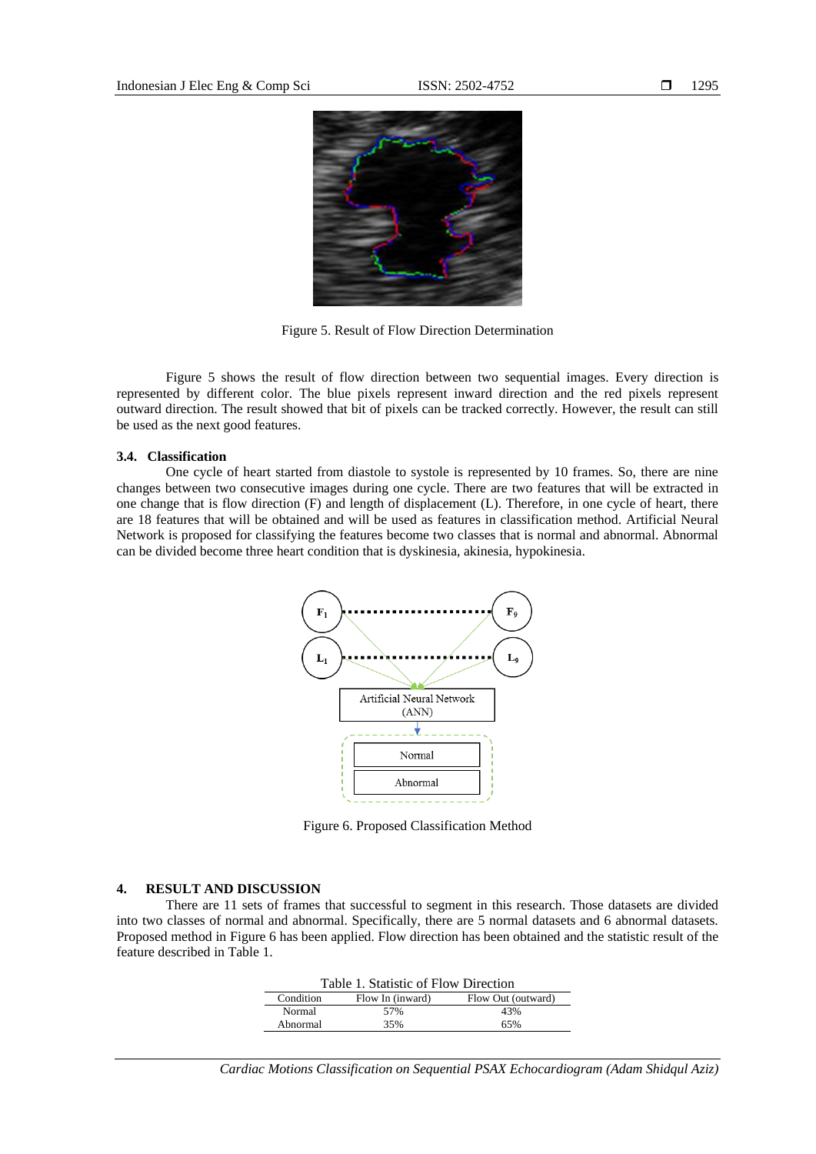

Figure 5. Result of Flow Direction Determination

Figure 5 shows the result of flow direction between two sequential images. Every direction is represented by different color. The blue pixels represent inward direction and the red pixels represent outward direction. The result showed that bit of pixels can be tracked correctly. However, the result can still be used as the next good features.

#### **3.4. Classification**

One cycle of heart started from diastole to systole is represented by 10 frames. So, there are nine changes between two consecutive images during one cycle. There are two features that will be extracted in one change that is flow direction (F) and length of displacement (L). Therefore, in one cycle of heart, there are 18 features that will be obtained and will be used as features in classification method. Artificial Neural Network is proposed for classifying the features become two classes that is normal and abnormal. Abnormal can be divided become three heart condition that is dyskinesia, akinesia, hypokinesia.



Figure 6. Proposed Classification Method

#### **4. RESULT AND DISCUSSION**

There are 11 sets of frames that successful to segment in this research. Those datasets are divided into two classes of normal and abnormal. Specifically, there are 5 normal datasets and 6 abnormal datasets. Proposed method in Figure 6 has been applied. Flow direction has been obtained and the statistic result of the feature described in Table 1.

| Table 1. Statistic of Flow Direction |                  |                    |
|--------------------------------------|------------------|--------------------|
| Condition                            | Flow In (inward) | Flow Out (outward) |
| Normal                               | 57%              | 43%                |
| Abnormal                             | 35%              | 65%                |

*Cardiac Motions Classification on Sequential PSAX Echocardiogram (Adam Shidqul Aziz)*